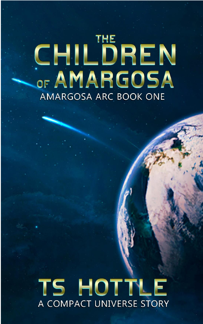# CHILDREN OF AMARGOSA AMARGOSA ARC BOOK ONE

# TS HOTTLE A COMPACT UNIVERSE STORY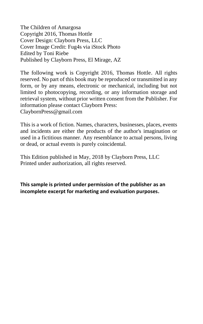The Children of Amargosa Copyright 2016, Thomas Hottle Cover Design: Clayborn Press, LLC Cover Image Credit: Fug4s via iStock Photo Edited by Toni Riebe Published by Clayborn Press, El Mirage, AZ

The following work is Copyright 2016, Thomas Hottle. All rights reserved. No part of this book may be reproduced or transmitted in any form, or by any means, electronic or mechanical, including but not limited to photocopying, recording, or any information storage and retrieval system, without prior written consent from the Publisher. For information please contact Clayborn Press: ClaybornPress@gmail.com

This is a work of fiction. Names, characters, businesses, places, events and incidents are either the products of the author's imagination or used in a fictitious manner. Any resemblance to actual persons, living or dead, or actual events is purely coincidental.

This Edition published in May, 2018 by Clayborn Press, LLC Printed under authorization, all rights reserved.

**This sample is printed under permission of the publisher as an incomplete excerpt for marketing and evaluation purposes.**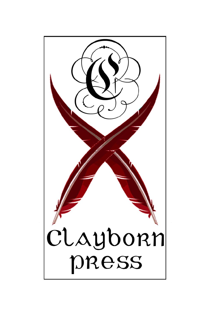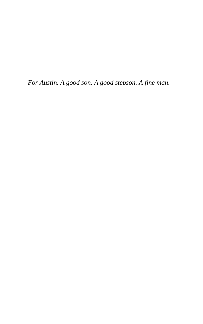*For Austin. A good son. A good stepson. A fine man.*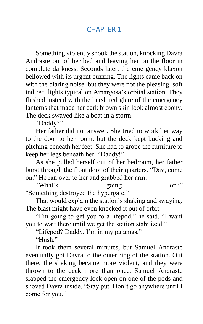## CHAPTER 1

Something violently shook the station, knocking Davra Andraste out of her bed and leaving her on the floor in complete darkness. Seconds later, the emergency klaxon bellowed with its urgent buzzing. The lights came back on with the blaring noise, but they were not the pleasing, soft indirect lights typical on Amargosa's orbital station. They flashed instead with the harsh red glare of the emergency lanterns that made her dark brown skin look almost ebony. The deck swayed like a boat in a storm.

"Daddy?"

Her father did not answer. She tried to work her way to the door to her room, but the deck kept bucking and pitching beneath her feet. She had to grope the furniture to keep her legs beneath her. "Daddy!"

As she pulled herself out of her bedroom, her father burst through the front door of their quarters. "Dav, come on." He ran over to her and grabbed her arm.

"What's going on?" "Something destroyed the hypergate."

That would explain the station's shaking and swaying. The blast might have even knocked it out of orbit.

"I'm going to get you to a lifepod," he said. "I want you to wait there until we get the station stabilized."

"Lifepod? Daddy, I'm in my pajamas."

"Hush."

It took them several minutes, but Samuel Andraste eventually got Davra to the outer ring of the station. Out there, the shaking became more violent, and they were thrown to the deck more than once. Samuel Andraste slapped the emergency lock open on one of the pods and shoved Davra inside. "Stay put. Don't go anywhere until I come for you."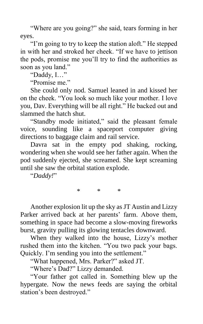"Where are you going?" she said, tears forming in her eyes.

"I'm going to try to keep the station aloft." He stepped in with her and stroked her cheek. "If we have to jettison the pods, promise me you'll try to find the authorities as soon as you land."

"Daddy, I…"

"Promise me."

She could only nod. Samuel leaned in and kissed her on the cheek. "You look so much like your mother. I love you, Dav. Everything will be all right." He backed out and slammed the hatch shut.

"Standby mode initiated," said the pleasant female voice, sounding like a spaceport computer giving directions to baggage claim and rail service.

Davra sat in the empty pod shaking, rocking, wondering when she would see her father again. When the pod suddenly ejected, she screamed. She kept screaming until she saw the orbital station explode.

"*Daddy!*"

Another explosion lit up the sky as JT Austin and Lizzy Parker arrived back at her parents' farm. Above them, something in space had become a slow-moving fireworks burst, gravity pulling its glowing tentacles downward.

 $*$  \* \*

When they walked into the house, Lizzy's mother rushed them into the kitchen. "You two pack your bags. Quickly. I'm sending you into the settlement."

"What happened, Mrs. Parker?" asked JT.

"Where's Dad?" Lizzy demanded.

"Your father got called in. Something blew up the hypergate. Now the news feeds are saying the orbital station's been destroyed."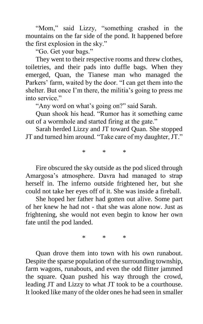"Mom," said Lizzy, "something crashed in the mountains on the far side of the pond. It happened before the first explosion in the sky."

"Go. Get your bags."

They went to their respective rooms and threw clothes, toiletries, and their pads into duffle bags. When they emerged, Quan, the Tianese man who managed the Parkers' farm, waited by the door. "I can get them into the shelter. But once I'm there, the militia's going to press me into service."

"Any word on what's going on?" said Sarah.

Quan shook his head. "Rumor has it something came out of a wormhole and started firing at the gate."

Sarah herded Lizzy and JT toward Quan. She stopped JT and turned him around. "Take care of my daughter, JT."

 $\mathbf{r}$   $\mathbf{r}$   $\mathbf{r}$ 

Fire obscured the sky outside as the pod sliced through Amargosa's atmosphere. Davra had managed to strap herself in. The inferno outside frightened her, but she could not take her eyes off of it. She was inside a fireball.

She hoped her father had gotten out alive. Some part of her knew he had not - that she was alone now. Just as frightening, she would not even begin to know her own fate until the pod landed.

\* \* \*

Quan drove them into town with his own runabout. Despite the sparse population of the surrounding township, farm wagons, runabouts, and even the odd flitter jammed the square. Quan pushed his way through the crowd, leading JT and Lizzy to what JT took to be a courthouse. It looked like many of the older ones he had seen in smaller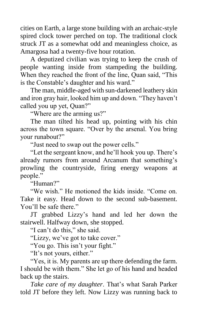cities on Earth, a large stone building with an archaic-style spired clock tower perched on top. The traditional clock struck JT as a somewhat odd and meaningless choice, as Amargosa had a twenty-five hour rotation.

A deputized civilian was trying to keep the crush of people wanting inside from stampeding the building. When they reached the front of the line, Quan said, "This is the Constable's daughter and his ward."

The man, middle-aged with sun-darkened leathery skin and iron gray hair, looked him up and down. "They haven't called you up yet, Quan?"

"Where are the arming us?"

The man tilted his head up, pointing with his chin across the town square. "Over by the arsenal. You bring your runabout?"

"Just need to swap out the power cells."

"Let the sergeant know, and he'll hook you up. There's already rumors from around Arcanum that something's prowling the countryside, firing energy weapons at people."

"Human?"

"We wish." He motioned the kids inside. "Come on. Take it easy. Head down to the second sub-basement. You'll be safe there."

JT grabbed Lizzy's hand and led her down the stairwell. Halfway down, she stopped.

"I can't do this," she said.

"Lizzy, we've got to take cover."

"You go. This isn't your fight."

"It's not yours, either."

"Yes, it is. My parents are up there defending the farm. I should be with them." She let go of his hand and headed back up the stairs.

*Take care of my daughter*. That's what Sarah Parker told JT before they left. Now Lizzy was running back to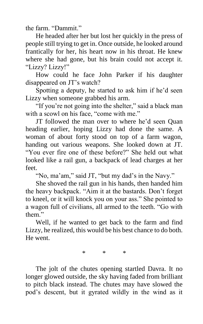the farm. "Dammit."

He headed after her but lost her quickly in the press of people still trying to get in. Once outside, he looked around frantically for her, his heart now in his throat. He knew where she had gone, but his brain could not accept it. "Lizzy? Lizzy!"

How could he face John Parker if his daughter disappeared on JT's watch?

Spotting a deputy, he started to ask him if he'd seen Lizzy when someone grabbed his arm.

"If you're not going into the shelter," said a black man with a scowl on his face, "come with me."

JT followed the man over to where he'd seen Quan heading earlier, hoping Lizzy had done the same. A woman of about forty stood on top of a farm wagon, handing out various weapons. She looked down at JT. "You ever fire one of these before?" She held out what looked like a rail gun, a backpack of lead charges at her feet.

"No, ma'am," said JT, "but my dad's in the Navy."

She shoved the rail gun in his hands, then handed him the heavy backpack. "Aim it at the bastards. Don't forget to kneel, or it will knock you on your ass." She pointed to a wagon full of civilians, all armed to the teeth. "Go with them."

Well, if he wanted to get back to the farm and find Lizzy, he realized, this would be his best chance to do both. He went.

\* \* \*

The jolt of the chutes opening startled Davra. It no longer glowed outside, the sky having faded from brilliant to pitch black instead. The chutes may have slowed the pod's descent, but it gyrated wildly in the wind as it